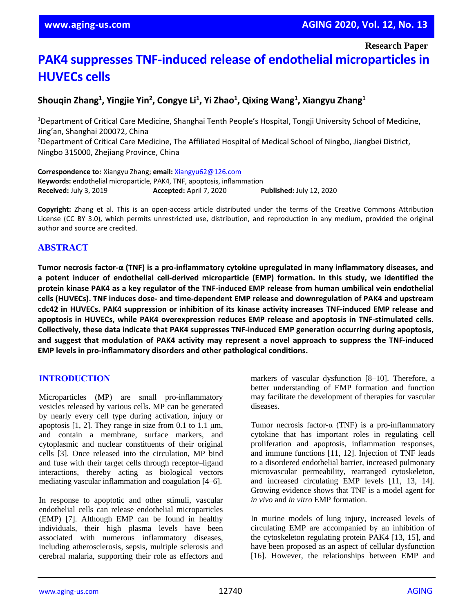**Research Paper**

# **PAK4 suppresses TNF-induced release of endothelial microparticles in HUVECs cells**

# **Shouqin Zhang<sup>1</sup> , Yingjie Yin<sup>2</sup> , Congye Li<sup>1</sup> , Yi Zhao<sup>1</sup> , Qixing Wang<sup>1</sup> , Xiangyu Zhang<sup>1</sup>**

<sup>1</sup>Department of Critical Care Medicine, Shanghai Tenth People's Hospital, Tongji University School of Medicine, Jing'an, Shanghai 200072, China

<sup>2</sup>Department of Critical Care Medicine, The Affiliated Hospital of Medical School of Ningbo, Jiangbei District, Ningbo 315000, Zhejiang Province, China

**Correspondence to:** Xiangyu Zhang; **email:** [Xiangyu62@126.com](mailto:Xiangyu62@126.com) **Keywords:** endothelial microparticle, PAK4, TNF, apoptosis, inflammation **Received:** July 3, 2019 **Accepted:** April 7, 2020 **Published:** July 12, 2020

**Copyright:** Zhang et al. This is an open-access article distributed under the terms of the Creative Commons Attribution License (CC BY 3.0), which permits unrestricted use, distribution, and reproduction in any medium, provided the original author and source are credited.

# **ABSTRACT**

**Tumor necrosis factor-α (TNF) is a pro-inflammatory cytokine upregulated in many inflammatory diseases, and a potent inducer of endothelial cell-derived microparticle (EMP) formation. In this study, we identified the** protein kinase PAK4 as a key regulator of the TNF-induced EMP release from human umbilical vein endothelial **cells (HUVECs). TNF induces dose- and time-dependent EMP release and downregulation of PAK4 and upstream cdc42 in HUVECs. PAK4 suppression or inhibition of its kinase activity increases TNF-induced EMP release and apoptosis in HUVECs, while PAK4 overexpression reduces EMP release and apoptosis in TNF-stimulated cells. Collectively, these data indicate that PAK4 suppresses TNF-induced EMP generation occurring during apoptosis, and suggest that modulation of PAK4 activity may represent a novel approach to suppress the TNF-induced EMP levels in pro-inflammatory disorders and other pathological conditions.**

## **INTRODUCTION**

Microparticles (MP) are small pro-inflammatory vesicles released by various cells. MP can be generated by nearly every cell type during activation, injury or apoptosis [1, 2]. They range in size from 0.1 to 1.1 μm, and contain a membrane, surface markers, and cytoplasmic and nuclear constituents of their original cells [3]. Once released into the circulation, MP bind and fuse with their target cells through receptor–ligand interactions, thereby acting as biological vectors mediating vascular inflammation and coagulation [4–6].

In response to apoptotic and other stimuli, vascular endothelial cells can release endothelial microparticles (EMP) [7]. Although EMP can be found in healthy individuals, their high plasma levels have been associated with numerous inflammatory diseases, including atherosclerosis, sepsis, multiple sclerosis and cerebral malaria, supporting their role as effectors and

markers of vascular dysfunction [8–10]. Therefore, a better understanding of EMP formation and function may facilitate the development of therapies for vascular diseases.

Tumor necrosis factor-α (TNF) is a pro-inflammatory cytokine that has important roles in regulating cell proliferation and apoptosis, inflammation responses, and immune functions [11, 12]. Injection of TNF leads to a disordered endothelial barrier, increased pulmonary microvascular permeability, rearranged cytoskeleton, and increased circulating EMP levels [11, 13, 14]. Growing evidence shows that TNF is a model agent for *in vivo* and *in vitro* EMP formation.

In murine models of lung injury, increased levels of circulating EMP are accompanied by an inhibition of the cytoskeleton regulating protein PAK4 [13, 15], and have been proposed as an aspect of cellular dysfunction [16]. However, the relationships between EMP and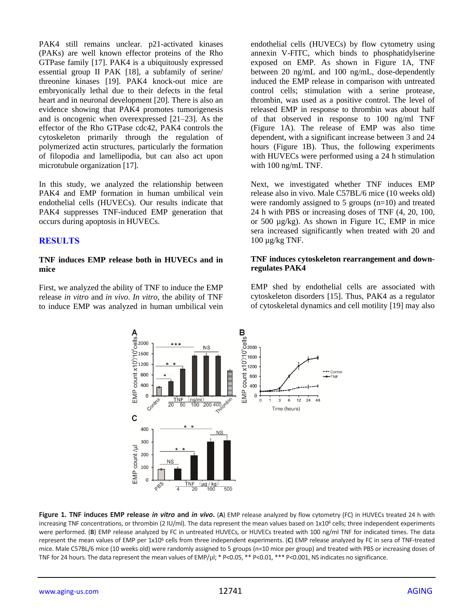PAK4 still remains unclear. p21-activated kinases (PAKs) are well known effector proteins of the Rho GTPase family [17]. PAK4 is a ubiquitously expressed essential group II PAK [18], a subfamily of serine/ threonine kinases [19]. PAK4 knock-out mice are embryonically lethal due to their defects in the fetal heart and in neuronal development [20]. There is also an evidence showing that PAK4 promotes tumorigenesis and is oncogenic when overexpressed [21–23]. As the effector of the Rho GTPase cdc42, PAK4 controls the cytoskeleton primarily through the regulation of polymerized actin structures, particularly the formation of filopodia and lamellipodia, but can also act upon microtubule organization [17].

In this study, we analyzed the relationship between PAK4 and EMP formation in human umbilical vein endothelial cells (HUVECs). Our results indicate that PAK4 suppresses TNF-induced EMP generation that occurs during apoptosis in HUVECs.

## **RESULTS**

#### **TNF induces EMP release both in HUVECs and in mice**

First, we analyzed the ability of TNF to induce the EMP release *in vitro* and *in vivo*. *In vitro*, the ability of TNF to induce EMP was analyzed in human umbilical vein endothelial cells (HUVECs) by flow cytometry using annexin V-FITC, which binds to phosphatidylserine exposed on EMP. As shown in Figure 1A, TNF between 20 ng/mL and 100 ng/mL, dose-dependently induced the EMP release in comparison with untreated control cells; stimulation with a serine protease, thrombin, was used as a positive control. The level of released EMP in response to thrombin was about half of that observed in response to 100 ng/ml TNF (Figure 1A). The release of EMP was also time dependent, with a significant increase between 3 and 24 hours (Figure 1B). Thus, the following experiments with HUVECs were performed using a 24 h stimulation with 100 ng/mL TNF.

Next, we investigated whether TNF induces EMP release also in vivo. Male C57BL/6 mice (10 weeks old) were randomly assigned to 5 groups  $(n=10)$  and treated 24 h with PBS or increasing doses of TNF (4, 20, 100, or 500 µg/kg). As shown in Figure 1C, EMP in mice sera increased significantly when treated with 20 and 100 µg/kg TNF.

#### **TNF induces cytoskeleton rearrangement and downregulates PAK4**

EMP shed by endothelial cells are associated with cytoskeleton disorders [15]. Thus, PAK4 as a regulator of cytoskeletal dynamics and cell motility [19] may also



**Figure 1. TNF induces EMP release** *in vitro* **and** *in vivo***.** (**A**) EMP release analyzed by flow cytometry (FC) in HUVECs treated 24 h with increasing TNF concentrations, or thrombin (2 IU/ml). The data represent the mean values based on  $1x10^6$  cells; three independent experiments were performed. (**B**) EMP release analyzed by FC in untreated HUVECs, or HUVECs treated with 100 ng/ml TNF for indicated times. The data represent the mean values of EMP per 1x10<sup>6</sup> cells from three independent experiments. (**C**) EMP release analyzed by FC in sera of TNF-treated mice. Male C57BL/6 mice (10 weeks old) were randomly assigned to 5 groups (n=10 mice per group) and treated with PBS or increasing doses of TNF for 24 hours. The data represent the mean values of EMP/ $\mu$ l; \* P<0.05, \*\* P<0.01, \*\*\* P<0.001, NS indicates no significance.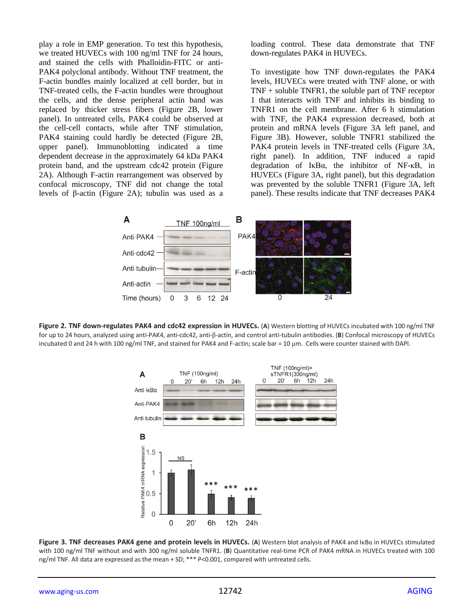play a role in EMP generation. To test this hypothesis, we treated HUVECs with 100 ng/ml TNF for 24 hours, and stained the cells with Phalloidin-FITC or anti-PAK4 polyclonal antibody. Without TNF treatment, the F-actin bundles mainly localized at cell border, but in TNF-treated cells, the F-actin bundles were throughout the cells, and the dense peripheral actin band was replaced by thicker stress fibers (Figure 2B, lower panel). In untreated cells, PAK4 could be observed at the cell-cell contacts, while after TNF stimulation, PAK4 staining could hardly be detected (Figure 2B, upper panel). Immunoblotting indicated a time dependent decrease in the approximately 64 kDa PAK4 protein band, and the upstream cdc42 protein (Figure 2A). Although F-actin rearrangement was observed by confocal microscopy, TNF did not change the total levels of β-actin (Figure 2A); tubulin was used as a loading control. These data demonstrate that TNF down-regulates PAK4 in HUVECs.

To investigate how TNF down-regulates the PAK4 levels, HUVECs were treated with TNF alone, or with TNF + soluble TNFR1, the soluble part of TNF receptor 1 that interacts with TNF and inhibits its binding to TNFR1 on the cell membrane. After 6 h stimulation with TNF, the PAK4 expression decreased, both at protein and mRNA levels (Figure 3A left panel, and Figure 3B). However, soluble TNFR1 stabilized the PAK4 protein levels in TNF-treated cells (Figure 3A, right panel). In addition, TNF induced a rapid degradation of IκBα, the inhibitor of NF-κB, in HUVECs (Figure 3A, right panel), but this degradation was prevented by the soluble TNFR1 (Figure 3A, left panel). These results indicate that TNF decreases PAK4







**Figure 3. TNF decreases PAK4 gene and protein levels in HUVECs.** (**A**) Western blot analysis of PAK4 and IκBα in HUVECs stimulated with 100 ng/ml TNF without and with 300 ng/ml soluble TNFR1. (**B**) Quantitative real-time PCR of PAK4 mRNA in HUVECs treated with 100 ng/ml TNF. All data are expressed as the mean + SD; \*\*\* P<0.001, compared with untreated cells.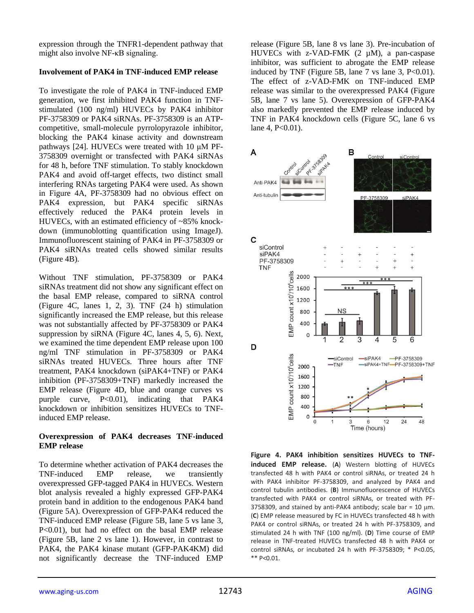expression through the TNFR1-dependent pathway that might also involve NF-κB signaling.

## **Involvement of PAK4 in TNF-induced EMP release**

To investigate the role of PAK4 in TNF-induced EMP generation, we first inhibited PAK4 function in TNFstimulated (100 ng/ml) HUVECs by PAK4 inhibitor PF-3758309 or PAK4 siRNAs. PF-3758309 is an ATPcompetitive, small-molecule pyrrolopyrazole inhibitor, blocking the PAK4 kinase activity and downstream pathways [24]. HUVECs were treated with 10 μM PF-3758309 overnight or transfected with PAK4 siRNAs for 48 h, before TNF stimulation. To stably knockdown PAK4 and avoid off-target effects, two distinct small interfering RNAs targeting PAK4 were used. As shown in Figure 4A, PF-3758309 had no obvious effect on PAK4 expression, but PAK4 specific siRNAs effectively reduced the PAK4 protein levels in HUVECs, with an estimated efficiency of ~85% knockdown (immunoblotting quantification using ImageJ). Immunofluorescent staining of PAK4 in PF-3758309 or PAK4 siRNAs treated cells showed similar results (Figure 4B).

Without TNF stimulation, PF-3758309 or PAK4 siRNAs treatment did not show any significant effect on the basal EMP release, compared to siRNA control (Figure 4C, lanes 1, 2, 3). TNF (24 h) stimulation significantly increased the EMP release, but this release was not substantially affected by PF-3758309 or PAK4 suppression by siRNA (Figure 4C, lanes 4, 5, 6). Next, we examined the time dependent EMP release upon 100 ng/ml TNF stimulation in PF-3758309 or PAK4 siRNAs treated HUVECs. Three hours after TNF treatment, PAK4 knockdown (siPAK4+TNF) or PAK4 inhibition (PF-3758309+TNF) markedly increased the EMP release (Figure 4D, blue and orange curves vs purple curve, P<0.01), indicating that PAK4 knockdown or inhibition sensitizes HUVECs to TNFinduced EMP release.

## **Overexpression of PAK4 decreases TNF-induced EMP release**

To determine whether activation of PAK4 decreases the TNF-induced EMP release, we transiently overexpressed GFP-tagged PAK4 in HUVECs. Western blot analysis revealed a highly expressed GFP-PAK4 protein band in addition to the endogenous PAK4 band (Figure 5A). Overexpression of GFP-PAK4 reduced the TNF-induced EMP release (Figure 5B, lane 5 vs lane 3, P<0.01), but had no effect on the basal EMP release (Figure 5B, lane 2 vs lane 1). However, in contrast to PAK4, the PAK4 kinase mutant (GFP-PAK4KM) did not significantly decrease the TNF-induced EMP

release (Figure 5B, lane 8 vs lane 3). Pre-incubation of HUVECs with z-VAD-FMK (2 µM), a pan-caspase inhibitor, was sufficient to abrogate the EMP release induced by TNF (Figure 5B, lane  $7$  vs lane  $3$ , P<0.01). The effect of z-VAD-FMK on TNF-induced EMP release was similar to the overexpressed PAK4 (Figure 5B, lane 7 vs lane 5). Overexpression of GFP-PAK4 also markedly prevented the EMP release induced by TNF in PAK4 knockdown cells (Figure 5C, lane 6 vs lane 4, P<0.01).



**Figure 4. PAK4 inhibition sensitizes HUVECs to TNFinduced EMP release.** (**A**) Western blotting of HUVECs transfected 48 h with PAK4 or control siRNAs, or treated 24 h with PAK4 inhibitor PF-3758309, and analyzed by PAK4 and control tubulin antibodies. (**B**) Immunofluorescence of HUVECs transfected with PAK4 or control siRNAs, or treated with PF-3758309, and stained by anti-PAK4 antibody; scale bar = 10  $\mu$ m. (**C**) EMP release measured by FC in HUVECs transfected 48 h with PAK4 or control siRNAs, or treated 24 h with PF-3758309, and stimulated 24 h with TNF (100 ng/ml). (**D**) Time course of EMP release in TNF-treated HUVECs transfected 48 h with PAK4 or control siRNAs, or incubated 24 h with PF-3758309; \* P<0.05, \*\* P<0.01.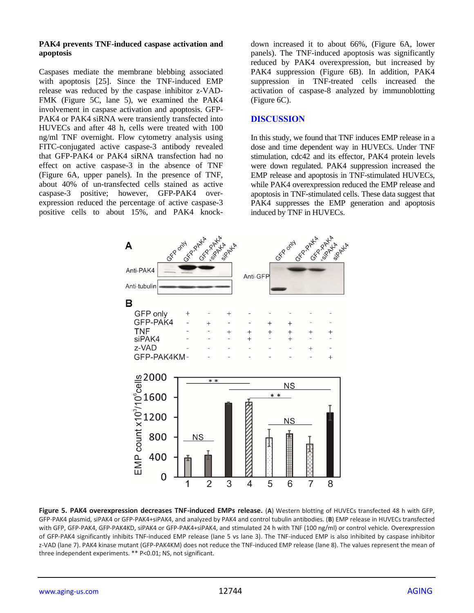#### **PAK4 prevents TNF-induced caspase activation and apoptosis**

Caspases mediate the membrane blebbing associated with apoptosis [25]. Since the TNF-induced EMP release was reduced by the caspase inhibitor z-VAD-FMK (Figure 5C, lane 5), we examined the PAK4 involvement in caspase activation and apoptosis. GFP-PAK4 or PAK4 siRNA were transiently transfected into HUVECs and after 48 h, cells were treated with 100 ng/ml TNF overnight. Flow cytometry analysis using FITC-conjugated active caspase-3 antibody revealed that GFP-PAK4 or PAK4 siRNA transfection had no effect on active caspase-3 in the absence of TNF (Figure 6A, upper panels). In the presence of TNF, about 40% of un-transfected cells stained as active caspase-3 positive; however, GFP-PAK4 overexpression reduced the percentage of active caspase-3 positive cells to about 15%, and PAK4 knockdown increased it to about 66%, (Figure 6A, lower panels). The TNF-induced apoptosis was significantly reduced by PAK4 overexpression, but increased by PAK4 suppression (Figure 6B). In addition, PAK4 suppression in TNF-treated cells increased the activation of caspase-8 analyzed by immunoblotting (Figure 6C).

#### **DISCUSSION**

In this study, we found that TNF induces EMP release in a dose and time dependent way in HUVECs. Under TNF stimulation, cdc42 and its effector, PAK4 protein levels were down regulated. PAK4 suppression increased the EMP release and apoptosis in TNF-stimulated HUVECs, while PAK4 overexpression reduced the EMP release and apoptosis in TNF-stimulated cells. These data suggest that PAK4 suppresses the EMP generation and apoptosis induced by TNF in HUVECs.



**Figure 5. PAK4 overexpression decreases TNF-induced EMPs release.** (**A**) Western blotting of HUVECs transfected 48 h with GFP, GFP-PAK4 plasmid, siPAK4 or GFP-PAK4+siPAK4, and analyzed by PAK4 and control tubulin antibodies. (**B**) EMP release in HUVECs transfected with GFP, GFP-PAK4, GFP-PAK4KD, siPAK4 or GFP-PAK4+siPAK4, and stimulated 24 h with TNF (100 ng/ml) or control vehicle. Overexpression of GFP-PAK4 significantly inhibits TNF-induced EMP release (lane 5 vs lane 3). The TNF-induced EMP is also inhibited by caspase inhibitor z-VAD (lane 7). PAK4 kinase mutant (GFP-PAK4KM) does not reduce the TNF-induced EMP release (lane 8). The values represent the mean of three independent experiments. \*\* P<0.01; NS, not significant.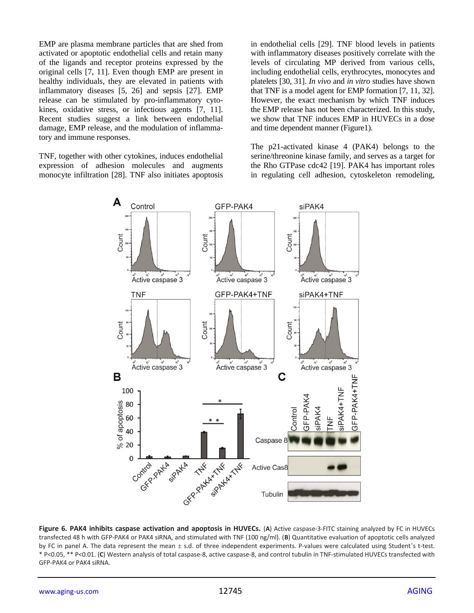EMP are plasma membrane particles that are shed from activated or apoptotic endothelial cells and retain many of the ligands and receptor proteins expressed by the original cells [7, 11]. Even though EMP are present in healthy individuals, they are elevated in patients with inflammatory diseases [5, 26] and sepsis [27]. EMP release can be stimulated by pro-inflammatory cytokines, oxidative stress, or infectious agents [7, 11]. Recent studies suggest a link between endothelial damage, EMP release, and the modulation of inflammatory and immune responses.

TNF, together with other cytokines, induces endothelial expression of adhesion molecules and augments monocyte infiltration [28]. TNF also initiates apoptosis in endothelial cells [29]. TNF blood levels in patients with inflammatory diseases positively correlate with the levels of circulating MP derived from various cells, including endothelial cells, erythrocytes, monocytes and platelets [30, 31]. *In vivo* and *in vitro* studies have shown that TNF is a model agent for EMP formation [7, 11, 32]. However, the exact mechanism by which TNF induces the EMP release has not been characterized. In this study, we show that TNF induces EMP in HUVECs in a dose and time dependent manner (Figure1).

The p21-activated kinase 4 (PAK4) belongs to the serine/threonine kinase family, and serves as a target for the Rho GTPase cdc42 [19]. PAK4 has important roles in regulating cell adhesion, cytoskeleton remodeling,



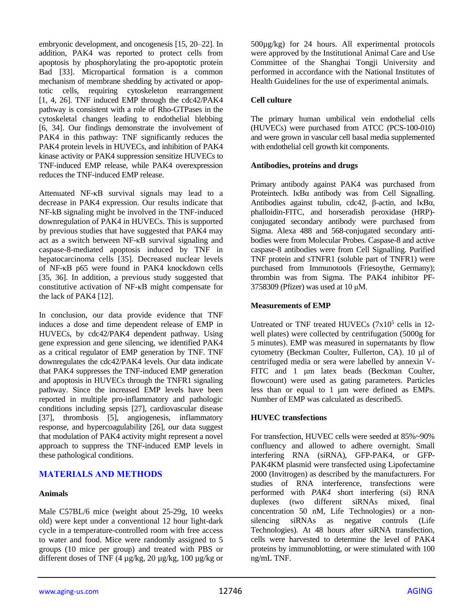embryonic development, and oncogenesis [15, 20–22]. In addition, PAK4 was reported to protect cells from apoptosis by phosphorylating the pro-apoptotic protein Bad [33]. Micropartical formation is a common mechanism of membrane shedding by activated or apoptotic cells, requiring cytoskeleton rearrangement [1, 4, 26]. TNF induced EMP through the cdc42/PAK4 pathway is consistent with a role of Rho-GTPases in the cytoskeletal changes leading to endothelial blebbing [6, 34]. Our findings demonstrate the involvement of PAK4 in this pathway: TNF significantly reduces the PAK4 protein levels in HUVECs, and inhibition of PAK4 kinase activity or PAK4 suppression sensitize HUVECs to TNF-induced EMP release, while PAK4 overexpression reduces the TNF-induced EMP release.

Attenuated NF-κB survival signals may lead to a decrease in PAK4 expression. Our results indicate that NF-kB signaling might be involved in the TNF-induced downregulation of PAK4 in HUVECs. This is supported by previous studies that have suggested that PAK4 may act as a switch between NF-κB survival signaling and caspase-8-mediated apoptosis induced by TNF in hepatocarcinoma cells [35]. Decreased nuclear levels of NF-κB p65 were found in PAK4 knockdown cells [35, 36]. In addition, a previous study suggested that constitutive activation of NF-κB might compensate for the lack of PAK4 [12].

In conclusion, our data provide evidence that TNF induces a dose and time dependent release of EMP in HUVECs, by cdc42/PAK4 dependent pathway. Using gene expression and gene silencing, we identified PAK4 as a critical regulator of EMP generation by TNF. TNF downregulates the cdc42/PAK4 levels. Our data indicate that PAK4 suppresses the TNF-induced EMP generation and apoptosis in HUVECs through the TNFR1 signaling pathway. Since the increased EMP levels have been reported in multiple pro-inflammatory and pathologic conditions including sepsis [27], cardiovascular disease [37], thrombosis [5], angiogenesis, inflammatory response, and hypercoagulability [26], our data suggest that modulation of PAK4 activity might represent a novel approach to suppress the TNF-induced EMP levels in these pathological conditions.

# **MATERIALS AND METHODS**

## **Animals**

Male C57BL/6 mice (weight about 25-29g, 10 weeks old) were kept under a conventional 12 hour light-dark cycle in a temperature-controlled room with free access to water and food. Mice were randomly assigned to 5 groups (10 mice per group) and treated with PBS or different doses of TNF (4 µg/kg, 20 µg/kg, 100 µg/kg or

500µg/kg) for 24 hours. All experimental protocols were approved by the Institutional Animal Care and Use Committee of the Shanghai Tongji University and performed in accordance with the National Institutes of Health Guidelines for the use of experimental animals.

# **Cell culture**

The primary human umbilical vein endothelial cells (HUVECs) were purchased from ATCC (PCS-100-010) and were grown in vascular cell basal media supplemented with endothelial cell growth kit components.

# **Antibodies, proteins and drugs**

Primary antibody against PAK4 was purchased from Proteintech. IκBα antibody was from Cell Signalling. Antibodies against tubulin, cdc42, β-actin, and IκBα, phalloidin-FITC, and horseradish peroxidase (HRP) conjugated secondary antibody were purchased from Sigma. Alexa 488 and 568-conjugated secondary antibodies were from Molecular Probes. Caspase-8 and active caspase-8 antibodies were from Cell Signalling. Purified TNF protein and sTNFR1 (soluble part of TNFR1) were purchased from Immunotools (Friesoythe, Germany); thrombin was from Sigma. The PAK4 inhibitor PF-3758309 (Pfizer) was used at 10 μM.

## **Measurements of EMP**

Untreated or TNF treated HUVECs  $(7x10^5 \text{ cells in } 12$ well plates) were collected by centrifugation (5000g for 5 minutes). EMP was measured in supernatants by flow cytometry (Beckman Coulter, Fullerton, CA). 10 μl of centrifuged media or sera were labelled by annexin V-FITC and 1 μm latex beads (Beckman Coulter, flowcount) were used as gating parameters. Particles less than or equal to 1 μm were defined as EMPs. Number of EMP was calculated as described5.

# **HUVEC transfections**

For transfection, HUVEC cells were seeded at 85%~90% confluency and allowed to adhere overnight. Small interfering RNA (siRNA), GFP-PAK4, or GFP-PAK4KM plasmid were transfected using Lipofectamine 2000 (Invitrogen) as described by the manufacturers. For studies of RNA interference, transfections were performed with *PAK4* short interfering (si) RNA duplexes (two different siRNAs mixed, final concentration 50 nM, Life Technologies) or a nonsilencing siRNAs as negative controls (Life Technologies). At 48 hours after siRNA transfection, cells were harvested to determine the level of PAK4 proteins by immunoblotting, or were stimulated with 100 ng/mL TNF.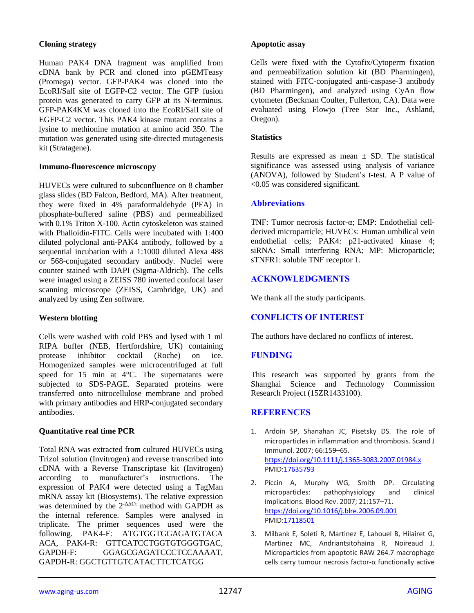## **Cloning strategy**

Human PAK4 DNA fragment was amplified from cDNA bank by PCR and cloned into pGEMTeasy (Promega) vector. GFP-PAK4 was cloned into the EcoRI/SalI site of EGFP-C2 vector. The GFP fusion protein was generated to carry GFP at its N-terminus. GFP-PAK4KM was cloned into the EcoRI/SalI site of EGFP-C2 vector. This PAK4 kinase mutant contains a lysine to methionine mutation at amino acid 350. The mutation was generated using site-directed mutagenesis kit (Stratagene).

## **Immuno-fluorescence microscopy**

HUVECs were cultured to subconfluence on 8 chamber glass slides (BD Falcon, Bedford, MA). After treatment, they were fixed in 4% paraformaldehyde (PFA) in phosphate-buffered saline (PBS) and permeabilized with 0.1% Triton X-100. Actin cytoskeleton was stained with Phalloidin-FITC. Cells were incubated with 1:400 diluted polyclonal anti-PAK4 antibody, followed by a sequential incubation with a 1:1000 diluted Alexa 488 or 568-conjugated secondary antibody. Nuclei were counter stained with DAPI (Sigma-Aldrich). The cells were imaged using a ZEISS 780 inverted confocal laser scanning microscope (ZEISS, Cambridge, UK) and analyzed by using Zen software.

## **Western blotting**

Cells were washed with cold PBS and lysed with 1 ml RIPA buffer (NEB, Hertfordshire, UK) containing protease inhibitor cocktail (Roche) on ice. Homogenized samples were microcentrifuged at full speed for 15 min at 4°C. The supernatants were subjected to SDS-PAGE. Separated proteins were transferred onto nitrocellulose membrane and probed with primary antibodies and HRP-conjugated secondary antibodies.

## **Quantitative real time PCR**

Total RNA was extracted from cultured HUVECs using Trizol solution (Invitrogen) and reverse transcribed into cDNA with a Reverse Transcriptase kit (Invitrogen) according to manufacturer's instructions. The expression of PAK4 were detected using a TagMan mRNA assay kit (Biosystems). The relative expression was determined by the  $2$ - $\Delta$ ACt method with GAPDH as the internal reference. Samples were analysed in triplicate. The primer sequences used were the following. PAK4-F: ATGTGGTGGAGATGTACA ACA, PAK4-R: GTTCATCCTGGTGTGGGTGAC, GAPDH-F: GGAGCGAGATCCCTCCAAAAT, GAPDH-R: GGCTGTTGTCATACTTCTCATGG

#### **Apoptotic assay**

Cells were fixed with the Cytofix/Cytoperm fixation and permeabilization solution kit (BD Pharmingen), stained with FITC-conjugated anti-caspase-3 antibody (BD Pharmingen), and analyzed using CyAn flow cytometer (Beckman Coulter, Fullerton, CA). Data were evaluated using Flowjo (Tree Star Inc., Ashland, Oregon).

#### **Statistics**

Results are expressed as mean  $\pm$  SD. The statistical significance was assessed using analysis of variance (ANOVA), followed by Student's t-test. A P value of <0.05 was considered significant.

#### **Abbreviations**

TNF: Tumor necrosis factor-α; EMP: Endothelial cellderived microparticle; HUVECs: Human umbilical vein endothelial cells; PAK4: p21-activated kinase 4; siRNA: Small interfering RNA; MP: Microparticle; sTNFR1: soluble TNF receptor 1.

# **ACKNOWLEDGMENTS**

We thank all the study participants.

# **CONFLICTS OF INTEREST**

The authors have declared no conflicts of interest.

# **FUNDING**

This research was supported by grants from the Shanghai Science and Technology Commission Research Project (15ZR1433100).

## **REFERENCES**

- 1. Ardoin SP, Shanahan JC, Pisetsky DS. The role of microparticles in inflammation and thrombosis. Scand J Immunol. 2007; 66:159–65. <https://doi.org/10.1111/j.1365-3083.2007.01984.x> PMI[D:17635793](https://pubmed.ncbi.nlm.nih.gov/17635793)
- 2. Piccin A, Murphy WG, Smith OP. Circulating<br>microparticles: pathophysiology and clinical pathophysiology and clinical implications. Blood Rev. 2007; 21:157–71. <https://doi.org/10.1016/j.blre.2006.09.001> PMI[D:17118501](https://pubmed.ncbi.nlm.nih.gov/17118501)
- 3. Milbank E, Soleti R, Martinez E, Lahouel B, Hilairet G, Martinez MC, Andriantsitohaina R, Noireaud J. Microparticles from apoptotic RAW 264.7 macrophage cells carry tumour necrosis factor-α functionally active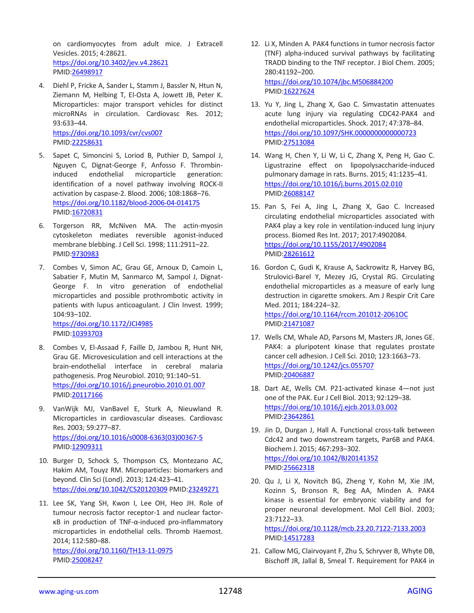on cardiomyocytes from adult mice. J Extracell Vesicles. 2015; 4:28621. <https://doi.org/10.3402/jev.v4.28621> PMID[:26498917](https://pubmed.ncbi.nlm.nih.gov/26498917)

- 4. Diehl P, Fricke A, Sander L, Stamm J, Bassler N, Htun N, Ziemann M, Helbing T, El-Osta A, Jowett JB, Peter K. Microparticles: major transport vehicles for distinct microRNAs in circulation. Cardiovasc Res. 2012; 93:633–44. <https://doi.org/10.1093/cvr/cvs007> PMID[:22258631](https://pubmed.ncbi.nlm.nih.gov/22258631)
- 5. Sapet C, Simoncini S, Loriod B, Puthier D, Sampol J, Nguyen C, Dignat-George F, Anfosso F. Thrombininduced endothelial microparticle generation: identification of a novel pathway involving ROCK-II activation by caspase-2. Blood. 2006; 108:1868–76. <https://doi.org/10.1182/blood-2006-04-014175> PMID[:16720831](https://pubmed.ncbi.nlm.nih.gov/16720831)
- 6. Torgerson RR, McNiven MA. The actin-myosin cytoskeleton mediates reversible agonist-induced membrane blebbing. J Cell Sci. 1998; 111:2911–22. PMID[:9730983](https://pubmed.ncbi.nlm.nih.gov/9730983)
- 7. Combes V, Simon AC, Grau GE, Arnoux D, Camoin L, Sabatier F, Mutin M, Sanmarco M, Sampol J, Dignat-George F. In vitro generation of endothelial microparticles and possible prothrombotic activity in patients with lupus anticoagulant. J Clin Invest. 1999; 104:93–102.

<https://doi.org/10.1172/JCI4985> PMID[:10393703](https://pubmed.ncbi.nlm.nih.gov/10393703)

- 8. Combes V, El-Assaad F, Faille D, Jambou R, Hunt NH, Grau GE. Microvesiculation and cell interactions at the brain-endothelial interface in cerebral malaria pathogenesis. Prog Neurobiol. 2010; 91:140–51. <https://doi.org/10.1016/j.pneurobio.2010.01.007> PMID[:20117166](https://pubmed.ncbi.nlm.nih.gov/20117166)
- 9. VanWijk MJ, VanBavel E, Sturk A, Nieuwland R. Microparticles in cardiovascular diseases. Cardiovasc Res. 2003; 59:277–87. [https://doi.org/10.1016/s0008-6363\(03\)00367-5](https://doi.org/10.1016/s0008-6363(03)00367-5) PMID[:12909311](https://pubmed.ncbi.nlm.nih.gov/12909311)
- 10. Burger D, Schock S, Thompson CS, Montezano AC, Hakim AM, Touyz RM. Microparticles: biomarkers and beyond. Clin Sci (Lond). 2013; 124:423–41. <https://doi.org/10.1042/CS20120309> PMID[:23249271](https://pubmed.ncbi.nlm.nih.gov/23249271)
- 11. Lee SK, Yang SH, Kwon I, Lee OH, Heo JH. Role of tumour necrosis factor receptor-1 and nuclear factorκB in production of TNF-α-induced pro-inflammatory microparticles in endothelial cells. Thromb Haemost. 2014; 112:580–88. <https://doi.org/10.1160/TH13-11-0975>

PMID[:25008247](https://pubmed.ncbi.nlm.nih.gov/25008247)

- 12. Li X, Minden A. PAK4 functions in tumor necrosis factor (TNF) alpha-induced survival pathways by facilitating TRADD binding to the TNF receptor. J Biol Chem. 2005; 280:41192–200. <https://doi.org/10.1074/jbc.M506884200> PMI[D:16227624](https://pubmed.ncbi.nlm.nih.gov/16227624)
- 13. Yu Y, Jing L, Zhang X, Gao C. Simvastatin attenuates acute lung injury via regulating CDC42-PAK4 and endothelial microparticles. Shock. 2017; 47:378–84. <https://doi.org/10.1097/SHK.0000000000000723> PMI[D:27513084](https://pubmed.ncbi.nlm.nih.gov/27513084)
- 14. Wang H, Chen Y, Li W, Li C, Zhang X, Peng H, Gao C. Ligustrazine effect on lipopolysaccharide-induced pulmonary damage in rats. Burns. 2015; 41:1235–41. <https://doi.org/10.1016/j.burns.2015.02.010> PMI[D:26088147](https://pubmed.ncbi.nlm.nih.gov/26088147)
- 15. Pan S, Fei A, Jing L, Zhang X, Gao C. Increased circulating endothelial microparticles associated with PAK4 play a key role in ventilation-induced lung injury process. Biomed Res Int. 2017; 2017:4902084. <https://doi.org/10.1155/2017/4902084> PMI[D:28261612](https://pubmed.ncbi.nlm.nih.gov/28261612)
- 16. Gordon C, Gudi K, Krause A, Sackrowitz R, Harvey BG, Strulovici-Barel Y, Mezey JG, Crystal RG. Circulating endothelial microparticles as a measure of early lung destruction in cigarette smokers. Am J Respir Crit Care Med. 2011; 184:224–32. <https://doi.org/10.1164/rccm.201012-2061OC> PMI[D:21471087](https://pubmed.ncbi.nlm.nih.gov/21471087)
- 17. Wells CM, Whale AD, Parsons M, Masters JR, Jones GE. PAK4: a pluripotent kinase that regulates prostate cancer cell adhesion. J Cell Sci. 2010; 123:1663–73. <https://doi.org/10.1242/jcs.055707> PMI[D:20406887](https://pubmed.ncbi.nlm.nih.gov/20406887)
- 18. Dart AE, Wells CM. P21-activated kinase 4—not just one of the PAK. Eur J Cell Biol. 2013; 92:129–38. <https://doi.org/10.1016/j.ejcb.2013.03.002> PMI[D:23642861](https://pubmed.ncbi.nlm.nih.gov/23642861)
- 19. Jin D, Durgan J, Hall A. Functional cross-talk between Cdc42 and two downstream targets, Par6B and PAK4. Biochem J. 2015; 467:293–302. <https://doi.org/10.1042/BJ20141352> PMI[D:25662318](https://pubmed.ncbi.nlm.nih.gov/25662318)
- 20. Qu J, Li X, Novitch BG, Zheng Y, Kohn M, Xie JM, Kozinn S, Bronson R, Beg AA, Minden A. PAK4 kinase is essential for embryonic viability and for proper neuronal development. Mol Cell Biol. 2003; 23:7122–33.

<https://doi.org/10.1128/mcb.23.20.7122-7133.2003> PMI[D:14517283](https://pubmed.ncbi.nlm.nih.gov/14517283)

21. Callow MG, Clairvoyant F, Zhu S, Schryver B, Whyte DB, Bischoff JR, Jallal B, Smeal T. Requirement for PAK4 in